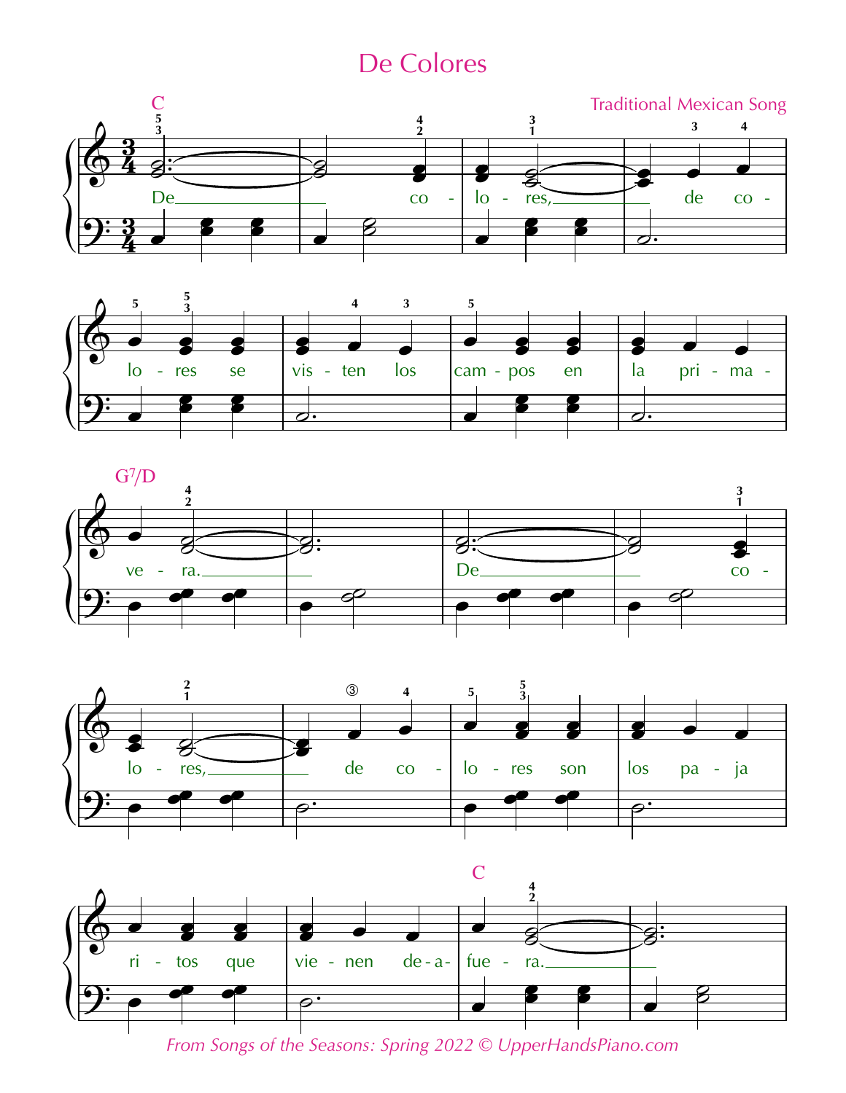## De Colores











*From Songs of the Seasons: Spring 2022 © UpperHandsPiano.com*